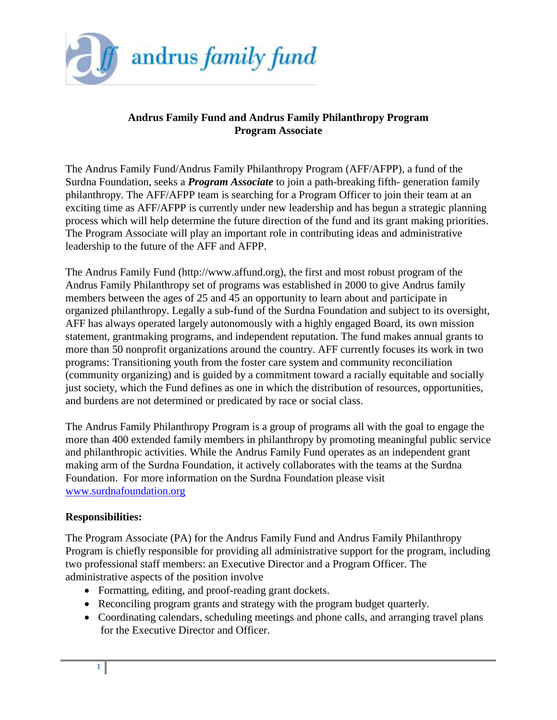

## **Andrus Family Fund and Andrus Family Philanthropy Program Program Associate**

The Andrus Family Fund/Andrus Family Philanthropy Program (AFF/AFPP), a fund of the Surdna Foundation, seeks a *Program Associate* to join a path-breaking fifth- generation family philanthropy. The AFF/AFPP team is searching for a Program Officer to join their team at an exciting time as AFF/AFPP is currently under new leadership and has begun a strategic planning process which will help determine the future direction of the fund and its grant making priorities. The Program Associate will play an important role in contributing ideas and administrative leadership to the future of the AFF and AFPP.

The Andrus Family Fund (http://www.affund.org), the first and most robust program of the Andrus Family Philanthropy set of programs was established in 2000 to give Andrus family members between the ages of 25 and 45 an opportunity to learn about and participate in organized philanthropy. Legally a sub-fund of the Surdna Foundation and subject to its oversight, AFF has always operated largely autonomously with a highly engaged Board, its own mission statement, grantmaking programs, and independent reputation. The fund makes annual grants to more than 50 nonprofit organizations around the country. AFF currently focuses its work in two programs: Transitioning youth from the foster care system and community reconciliation (community organizing) and is guided by a commitment toward a racially equitable and socially just society, which the Fund defines as one in which the distribution of resources, opportunities, and burdens are not determined or predicated by race or social class.

The Andrus Family Philanthropy Program is a group of programs all with the goal to engage the more than 400 extended family members in philanthropy by promoting meaningful public service and philanthropic activities. While the Andrus Family Fund operates as an independent grant making arm of the Surdna Foundation, it actively collaborates with the teams at the Surdna Foundation. For more information on the Surdna Foundation please visit [www.surdnafoundation.org](http://www.surdnafoundation.org/)

## **Responsibilities:**

The Program Associate (PA) for the Andrus Family Fund and Andrus Family Philanthropy Program is chiefly responsible for providing all administrative support for the program, including two professional staff members: an Executive Director and a Program Officer. The administrative aspects of the position involve

- Formatting, editing, and proof-reading grant dockets.
- Reconciling program grants and strategy with the program budget quarterly.
- Coordinating calendars, scheduling meetings and phone calls, and arranging travel plans for the Executive Director and Officer.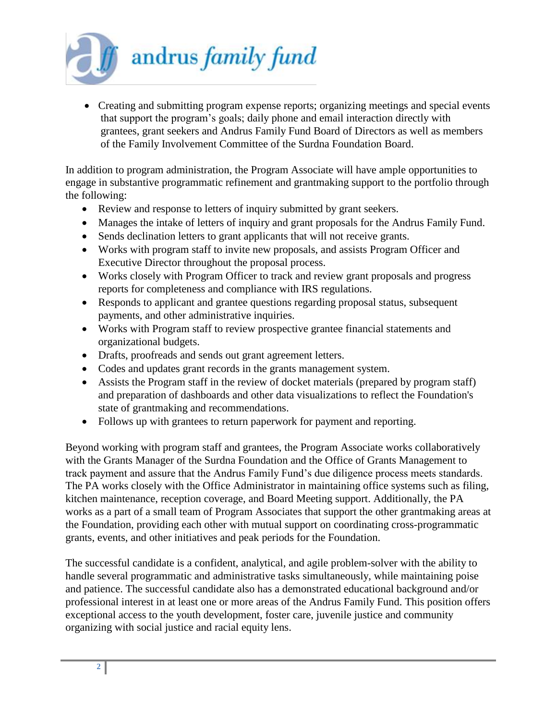

 Creating and submitting program expense reports; organizing meetings and special events that support the program's goals; daily phone and email interaction directly with grantees, grant seekers and Andrus Family Fund Board of Directors as well as members of the Family Involvement Committee of the Surdna Foundation Board.

In addition to program administration, the Program Associate will have ample opportunities to engage in substantive programmatic refinement and grantmaking support to the portfolio through the following:

- Review and response to letters of inquiry submitted by grant seekers.
- Manages the intake of letters of inquiry and grant proposals for the Andrus Family Fund.
- Sends declination letters to grant applicants that will not receive grants.
- Works with program staff to invite new proposals, and assists Program Officer and Executive Director throughout the proposal process.
- Works closely with Program Officer to track and review grant proposals and progress reports for completeness and compliance with IRS regulations.
- Responds to applicant and grantee questions regarding proposal status, subsequent payments, and other administrative inquiries.
- Works with Program staff to review prospective grantee financial statements and organizational budgets.
- Drafts, proofreads and sends out grant agreement letters.
- Codes and updates grant records in the grants management system.
- Assists the Program staff in the review of docket materials (prepared by program staff) and preparation of dashboards and other data visualizations to reflect the Foundation's state of grantmaking and recommendations.
- Follows up with grantees to return paperwork for payment and reporting.

Beyond working with program staff and grantees, the Program Associate works collaboratively with the Grants Manager of the Surdna Foundation and the Office of Grants Management to track payment and assure that the Andrus Family Fund's due diligence process meets standards. The PA works closely with the Office Administrator in maintaining office systems such as filing, kitchen maintenance, reception coverage, and Board Meeting support. Additionally, the PA works as a part of a small team of Program Associates that support the other grantmaking areas at the Foundation, providing each other with mutual support on coordinating cross-programmatic grants, events, and other initiatives and peak periods for the Foundation.

The successful candidate is a confident, analytical, and agile problem-solver with the ability to handle several programmatic and administrative tasks simultaneously, while maintaining poise and patience. The successful candidate also has a demonstrated educational background and/or professional interest in at least one or more areas of the Andrus Family Fund. This position offers exceptional access to the youth development, foster care, juvenile justice and community organizing with social justice and racial equity lens.